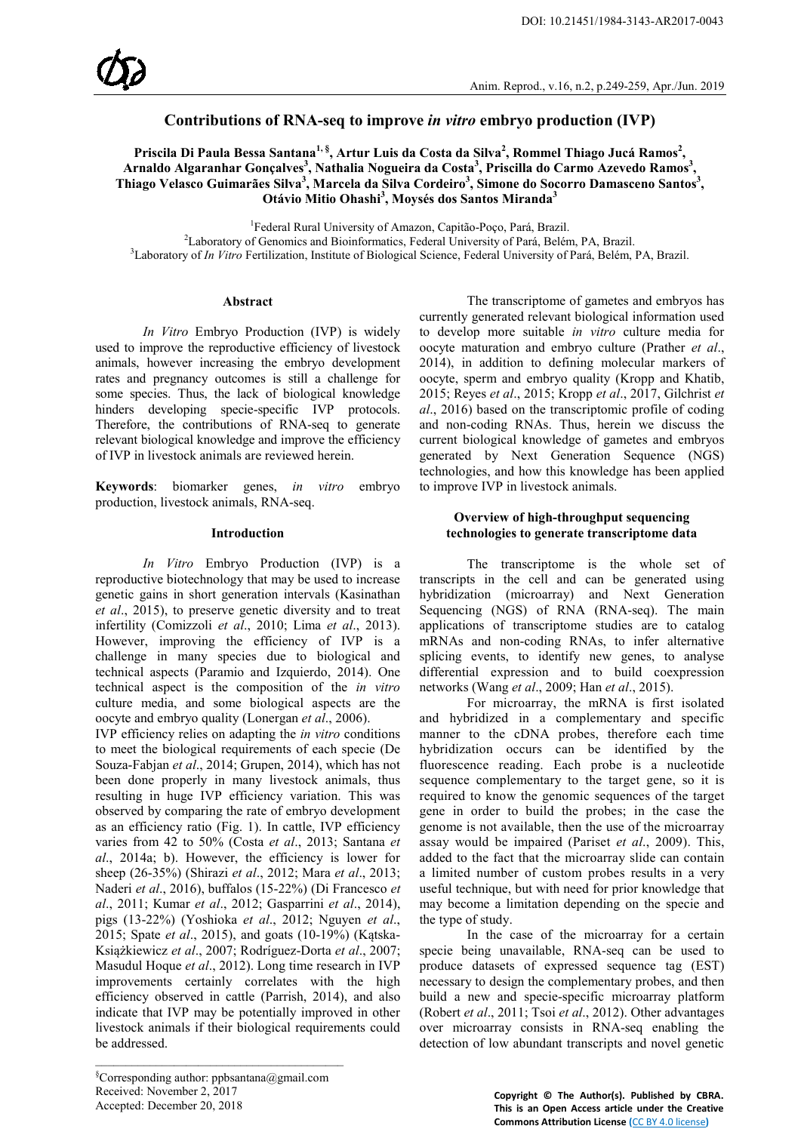# **Contributions of RNA-seq to improve** *in vitro* **embryo production (IVP)**

Priscila Di Paula Bessa Santana<sup>1, §</sup>, Artur Luis da Costa da Silva<sup>2</sup>, Rommel Thiago Jucá Ramos<sup>2</sup>, Arnaldo Algaranhar Gonçalves<sup>3</sup>, Nathalia Nogueira da Costa<sup>3</sup>, Priscilla do Carmo Azevedo Ramos<sup>3</sup>, **Thiago Velasco Guimarães Silva<sup>3</sup> , Marcela da Silva Cordeiro<sup>3</sup> , Simone do Socorro Damasceno Santos3 , Otávio Mitio Ohashi<sup>3</sup> , Moysés dos Santos Miranda<sup>3</sup>**

1 Federal Rural University of Amazon, Capitão-Poço, Pará, Brazil. <sup>2</sup>

Laboratory of Genomics and Bioinformatics, Federal University of Pará, Belém, PA, Brazil. <sup>3</sup> Laboratory of *In Vitro* Fertilization, Institute of Biological Science, Federal University of Pará, Belém, PA, Brazil.

### **Abstract**

*In Vitro* Embryo Production (IVP) is widely used to improve the reproductive efficiency of livestock animals, however increasing the embryo development rates and pregnancy outcomes is still a challenge for some species. Thus, the lack of biological knowledge hinders developing specie-specific IVP protocols. Therefore, the contributions of RNA-seq to generate relevant biological knowledge and improve the efficiency of IVP in livestock animals are reviewed herein.

**Keywords**: biomarker genes, *in vitro* embryo production, livestock animals, RNA-seq.

### **Introduction**

*In Vitro* Embryo Production (IVP) is a reproductive biotechnology that may be used to increase genetic gains in short generation intervals (Kasinathan *et al*., 2015), to preserve genetic diversity and to treat infertility (Comizzoli *et al*., 2010; Lima *et al*., 2013). However, improving the efficiency of IVP is a challenge in many species due to biological and technical aspects (Paramio and Izquierdo, 2014). One technical aspect is the composition of the *in vitro* culture media, and some biological aspects are the oocyte and embryo quality (Lonergan *et al*., 2006).

IVP efficiency relies on adapting the *in vitro* conditions to meet the biological requirements of each specie (De Souza-Fabjan *et al*., 2014; Grupen, 2014), which has not been done properly in many livestock animals, thus resulting in huge IVP efficiency variation. This was observed by comparing the rate of embryo development as an efficiency ratio (Fig. 1). In cattle, IVP efficiency varies from 42 to 50% (Costa *et al*., 2013; Santana *et al*., 2014a; b). However, the efficiency is lower for sheep (26-35%) (Shirazi *et al*., 2012; Mara *et al*., 2013; Naderi *et al*., 2016), buffalos (15-22%) (Di Francesco *et al*., 2011; Kumar *et al*., 2012; Gasparrini *et al*., 2014), pigs (13-22%) (Yoshioka *et al*., 2012; Nguyen *et al*., 2015; Spate *et al*., 2015), and goats (10-19%) (Kątska-Książkiewicz *et al*., 2007; Rodríguez-Dorta *et al*., 2007; Masudul Hoque *et al*., 2012). Long time research in IVP improvements certainly correlates with the high efficiency observed in cattle (Parrish, 2014), and also indicate that IVP may be potentially improved in other livestock animals if their biological requirements could be addressed.

The transcriptome of gametes and embryos has currently generated relevant biological information used to develop more suitable *in vitro* culture media for oocyte maturation and embryo culture (Prather *et al*., 2014), in addition to defining molecular markers of oocyte, sperm and embryo quality (Kropp and Khatib, 2015; Reyes *et al*., 2015; Kropp *et al*., 2017, Gilchrist *et al*., 2016) based on the transcriptomic profile of coding and non-coding RNAs. Thus, herein we discuss the current biological knowledge of gametes and embryos generated by Next Generation Sequence (NGS) technologies, and how this knowledge has been applied to improve IVP in livestock animals.

### **Overview of high-throughput sequencing technologies to generate transcriptome data**

The transcriptome is the whole set of transcripts in the cell and can be generated using hybridization (microarray) and Next Generation Sequencing (NGS) of RNA (RNA-seq). The main applications of transcriptome studies are to catalog mRNAs and non-coding RNAs, to infer alternative splicing events, to identify new genes, to analyse differential expression and to build coexpression networks (Wang *et al*., 2009; Han *et al*., 2015).

For microarray, the mRNA is first isolated and hybridized in a complementary and specific manner to the cDNA probes, therefore each time hybridization occurs can be identified by the fluorescence reading. Each probe is a nucleotide sequence complementary to the target gene, so it is required to know the genomic sequences of the target gene in order to build the probes; in the case the genome is not available, then the use of the microarray assay would be impaired (Pariset *et al*., 2009). This, added to the fact that the microarray slide can contain a limited number of custom probes results in a very useful technique, but with need for prior knowledge that may become a limitation depending on the specie and the type of study.

In the case of the microarray for a certain specie being unavailable, RNA-seq can be used to produce datasets of expressed sequence tag (EST) necessary to design the complementary probes, and then build a new and specie-specific microarray platform (Robert *et al*., 2011; Tsoi *et al*., 2012). Other advantages over microarray consists in RNA-seq enabling the detection of low abundant transcripts and novel genetic

\_\_\_\_\_\_\_\_\_\_\_\_\_\_\_\_\_\_\_\_\_\_\_\_\_\_\_\_\_\_\_\_\_\_\_\_\_\_\_\_\_

**Copyright © The Author(s). Published by CBRA. This is an Open Access article under the Creative Commons Attribution License (**[CC BY 4.0 license](https://creativecommons.org/licenses/by/4.0/)**)**

<sup>§</sup> Corresponding author: ppbsantana@gmail.com Received: November 2, 2017 Accepted: December 20, 2018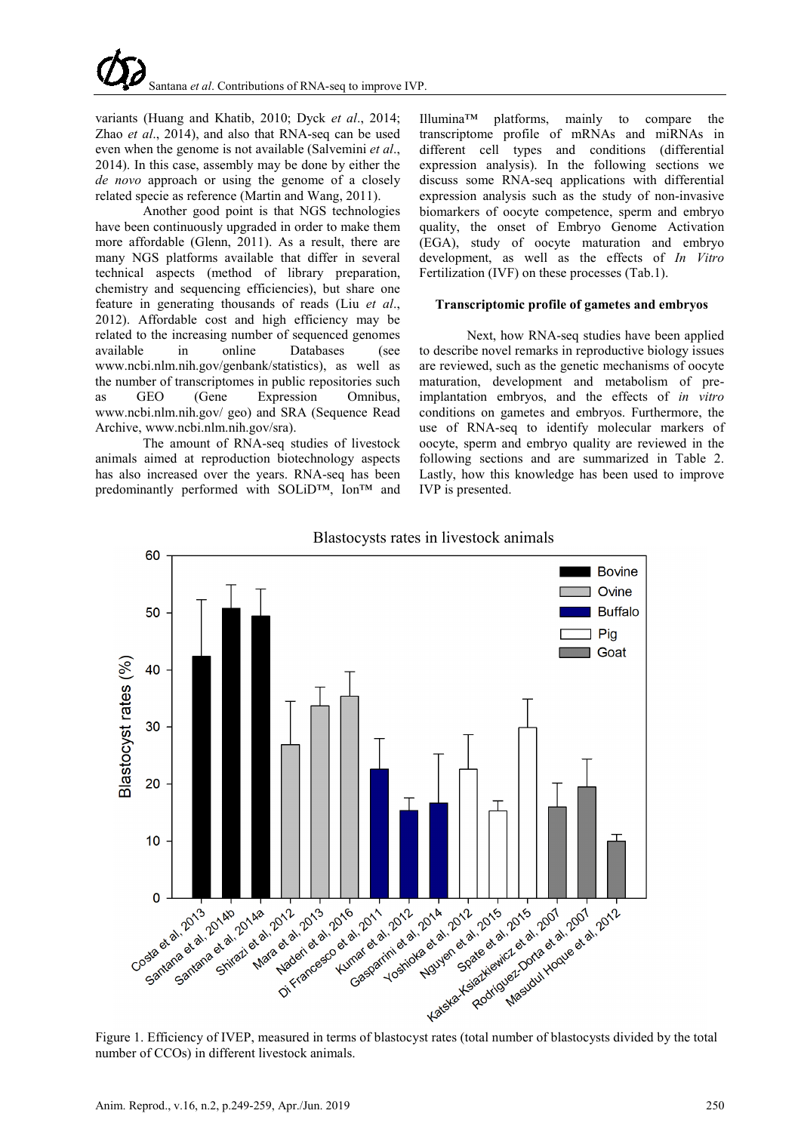variants (Huang and Khatib, 2010; Dyck *et al*., 2014; Zhao *et al*., 2014), and also that RNA-seq can be used even when the genome is not available (Salvemini *et al*., 2014). In this case, assembly may be done by either the *de novo* approach or using the genome of a closely related specie as reference (Martin and Wang, 2011).

Another good point is that NGS technologies have been continuously upgraded in order to make them more affordable (Glenn, 2011). As a result, there are many NGS platforms available that differ in several technical aspects (method of library preparation, chemistry and sequencing efficiencies), but share one feature in generating thousands of reads (Liu *et al*., 2012). Affordable cost and high efficiency may be related to the increasing number of sequenced genomes available in online Databases (see www.ncbi.nlm.nih.gov/genbank/statistics), as well as the number of transcriptomes in public repositories such as GEO (Gene Expression Omnibus, www.ncbi.nlm.nih.gov/ geo) and SRA (Sequence Read Archive, www.ncbi.nlm.nih.gov/sra).

The amount of RNA-seq studies of livestock animals aimed at reproduction biotechnology aspects has also increased over the years. RNA-seq has been predominantly performed with SOLiD™, Ion™ and Illumina™ platforms, mainly to compare the transcriptome profile of mRNAs and miRNAs in different cell types and conditions (differential expression analysis). In the following sections we discuss some RNA-seq applications with differential expression analysis such as the study of non-invasive biomarkers of oocyte competence, sperm and embryo quality, the onset of Embryo Genome Activation (EGA), study of oocyte maturation and embryo development, as well as the effects of *In Vitro* Fertilization (IVF) on these processes (Tab.1).

# **Transcriptomic profile of gametes and embryos**

Next, how RNA-seq studies have been applied to describe novel remarks in reproductive biology issues are reviewed, such as the genetic mechanisms of oocyte maturation, development and metabolism of preimplantation embryos, and the effects of *in vitro* conditions on gametes and embryos. Furthermore, the use of RNA-seq to identify molecular markers of oocyte, sperm and embryo quality are reviewed in the following sections and are summarized in Table 2. Lastly, how this knowledge has been used to improve IVP is presented.



number of CCOs) in different livestock animals.

# Blastocysts rates in livestock animals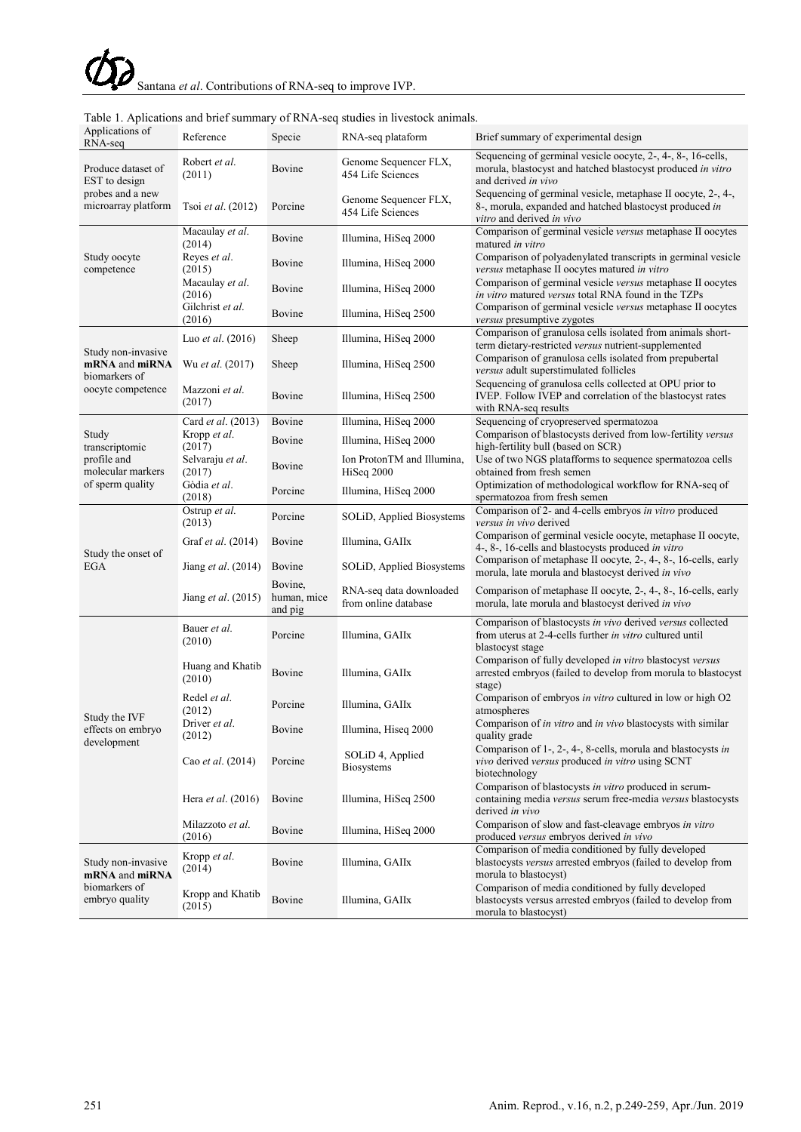| Applications of<br>RNA-seq                                                      | Reference                          | Specie                            | RNA-seq plataform                               | Brief summary of experimental design                                                                                                                 |
|---------------------------------------------------------------------------------|------------------------------------|-----------------------------------|-------------------------------------------------|------------------------------------------------------------------------------------------------------------------------------------------------------|
| Produce dataset of<br>EST to design<br>probes and a new<br>microarray platform  | Robert et al.<br>(2011)            | Bovine                            | Genome Sequencer FLX,<br>454 Life Sciences      | Sequencing of germinal vesicle oocyte, 2-, 4-, 8-, 16-cells,<br>morula, blastocyst and hatched blastocyst produced in vitro<br>and derived in vivo   |
|                                                                                 | Tsoi et al. (2012)                 | Porcine                           | Genome Sequencer FLX,<br>454 Life Sciences      | Sequencing of germinal vesicle, metaphase II oocyte, 2-, 4-,<br>8-, morula, expanded and hatched blastocyst produced in<br>vitro and derived in vivo |
| Study oocyte<br>competence                                                      | Macaulay et al.<br>(2014)          | Bovine                            | Illumina, HiSeq 2000                            | Comparison of germinal vesicle versus metaphase II oocytes<br>matured in vitro                                                                       |
|                                                                                 | Reyes et al.<br>(2015)             | Bovine                            | Illumina, HiSeq 2000                            | Comparison of polyadenylated transcripts in germinal vesicle<br>versus metaphase II oocytes matured in vitro                                         |
|                                                                                 | Macaulay et al.<br>(2016)          | Bovine                            | Illumina, HiSeq 2000                            | Comparison of germinal vesicle versus metaphase II oocytes<br>in vitro matured versus total RNA found in the TZPs                                    |
|                                                                                 | Gilchrist et al.<br>(2016)         | Bovine                            | Illumina, HiSeq 2500                            | Comparison of germinal vesicle versus metaphase II oocytes<br>versus presumptive zygotes                                                             |
| Study non-invasive<br>mRNA and miRNA<br>biomarkers of<br>oocyte competence      | Luo <i>et al.</i> $(2016)$         | Sheep                             | Illumina, HiSeq 2000                            | Comparison of granulosa cells isolated from animals short-<br>term dietary-restricted versus nutrient-supplemented                                   |
|                                                                                 | Wu et al. (2017)                   | Sheep                             | Illumina, HiSeq 2500                            | Comparison of granulosa cells isolated from prepubertal<br>versus adult superstimulated follicles                                                    |
|                                                                                 | Mazzoni et al.<br>(2017)           | Bovine                            | Illumina, HiSeq 2500                            | Sequencing of granulosa cells collected at OPU prior to<br>IVEP. Follow IVEP and correlation of the blastocyst rates<br>with RNA-seq results         |
| Study<br>transcriptomic<br>profile and<br>molecular markers<br>of sperm quality | Card et al. (2013)                 | Bovine                            | Illumina, HiSeq 2000                            | Sequencing of cryopreserved spermatozoa                                                                                                              |
|                                                                                 | Kropp et al.<br>(2017)             | Bovine                            | Illumina, HiSeq 2000                            | Comparison of blastocysts derived from low-fertility versus<br>high-fertility bull (based on SCR)                                                    |
|                                                                                 | Selvaraju et al.<br>(2017)         | Bovine                            | Ion ProtonTM and Illumina,<br>HiSeq 2000        | Use of two NGS platafforms to sequence spermatozoa cells<br>obtained from fresh semen                                                                |
|                                                                                 | Gòdia et al.<br>(2018)             | Porcine                           | Illumina, HiSeq 2000                            | Optimization of methodological workflow for RNA-seq of<br>spermatozoa from fresh semen                                                               |
| Study the onset of<br><b>EGA</b>                                                | Ostrup et al.<br>(2013)            | Porcine                           | SOLiD, Applied Biosystems                       | Comparison of 2- and 4-cells embryos in vitro produced<br>versus in vivo derived                                                                     |
|                                                                                 | Graf et al. (2014)                 | Bovine                            | Illumina, GAIIx                                 | Comparison of germinal vesicle oocyte, metaphase II oocyte,<br>4-, 8-, 16-cells and blastocysts produced in vitro                                    |
|                                                                                 | Jiang <i>et al.</i> (2014)         | Bovine                            | SOLiD, Applied Biosystems                       | Comparison of metaphase II oocyte, 2-, 4-, 8-, 16-cells, early<br>morula, late morula and blastocyst derived in vivo                                 |
|                                                                                 | Jiang <i>et al.</i> (2015)         | Bovine,<br>human, mice<br>and pig | RNA-seq data downloaded<br>from online database | Comparison of metaphase II oocyte, 2-, 4-, 8-, 16-cells, early<br>morula, late morula and blastocyst derived in vivo                                 |
| Study the IVF<br>effects on embryo<br>development                               | Bauer <i>et al</i> .<br>(2010)     | Porcine                           | Illumina, GAIIx                                 | Comparison of blastocysts in vivo derived versus collected<br>from uterus at 2-4-cells further <i>in vitro</i> cultured until<br>blastocyst stage    |
|                                                                                 | Huang and Khatib<br>(2010)         | Bovine                            | Illumina, GAIIx                                 | Comparison of fully developed in vitro blastocyst versus<br>arrested embryos (failed to develop from morula to blastocyst<br>stage)                  |
|                                                                                 | Redel et al.<br>(2012)             | Porcine                           | Illumina, GAIIx                                 | Comparison of embryos in vitro cultured in low or high O2<br>atmospheres                                                                             |
|                                                                                 | Driver et al.<br>(2012)            | Bovine                            | Illumina, Hiseq 2000                            | Comparison of in vitro and in vivo blastocysts with similar<br>quality grade                                                                         |
|                                                                                 | Cao et al. (2014)                  | Porcine                           | SOLiD 4, Applied<br><b>Biosystems</b>           | Comparison of 1-, 2-, 4-, 8-cells, morula and blastocysts in<br>vivo derived versus produced in vitro using SCNT<br>biotechnology                    |
|                                                                                 | Hera <i>et al.</i> (2016)          | Bovine                            | Illumina, HiSeq 2500                            | Comparison of blastocysts in vitro produced in serum-<br>containing media versus serum free-media versus blastocysts<br>derived in vivo              |
|                                                                                 | Milazzoto <i>et al</i> .<br>(2016) | Bovine                            | Illumina, HiSeq 2000                            | Comparison of slow and fast-cleavage embryos in vitro<br>produced versus embryos derived in vivo                                                     |
| Study non-invasive<br>mRNA and miRNA<br>biomarkers of<br>embryo quality         | Kropp et al.<br>(2014)             | Bovine                            | Illumina, GAIIx                                 | Comparison of media conditioned by fully developed<br>blastocysts versus arrested embryos (failed to develop from<br>morula to blastocyst)           |
|                                                                                 | Kropp and Khatib<br>(2015)         | Bovine                            | Illumina, GAIIx                                 | Comparison of media conditioned by fully developed<br>blastocysts versus arrested embryos (failed to develop from<br>morula to blastocyst)           |

# Table 1. Aplications and brief summary of RNA-seq studies in livestock animals.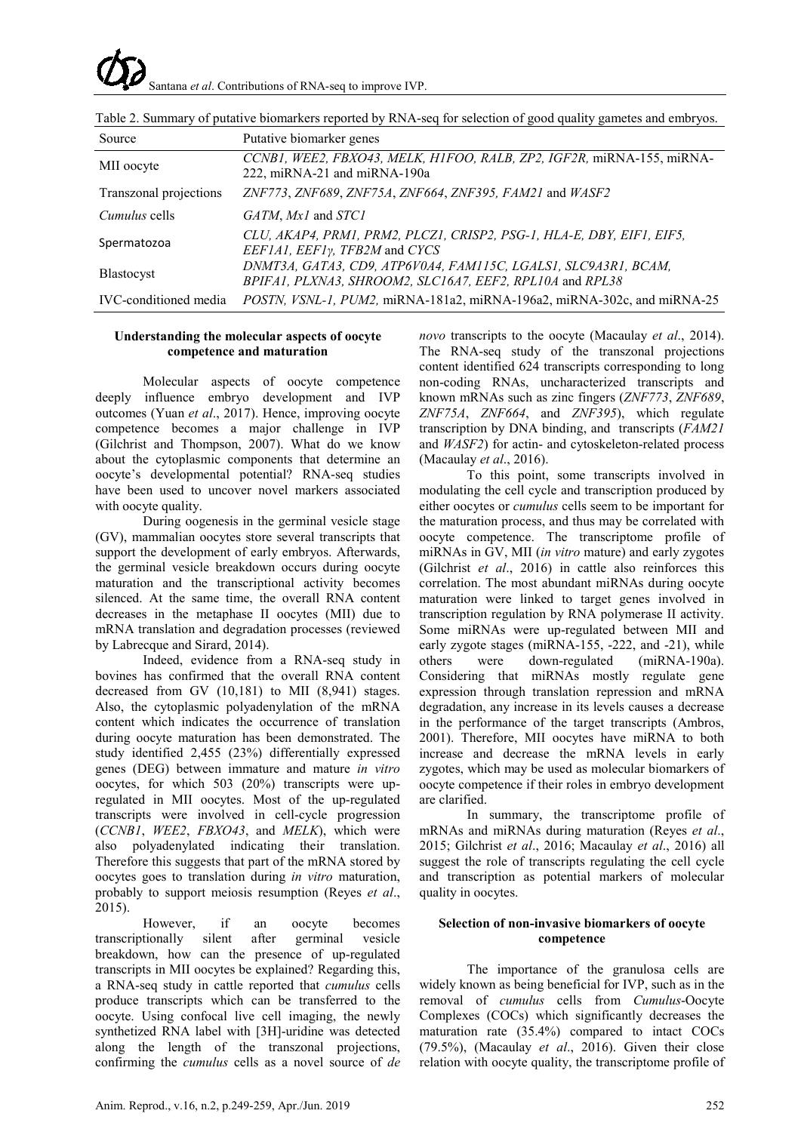Santana *et al*. Contributions of RNA-seq to improve IVP.

| Source                 | Putative biomarker genes                                                                                                   |
|------------------------|----------------------------------------------------------------------------------------------------------------------------|
| MII oocyte             | CCNB1, WEE2, FBXO43, MELK, H1FOO, RALB, ZP2, IGF2R, miRNA-155, miRNA-<br>222, miRNA-21 and miRNA-190a                      |
| Transzonal projections | ZNF773, ZNF689, ZNF75A, ZNF664, ZNF395, FAM21 and $WASE2$                                                                  |
| <i>Cumulus</i> cells   | GATM, Mx1 and STC1                                                                                                         |
| Spermatozoa            | CLU, AKAP4, PRM1, PRM2, PLCZ1, CRISP2, PSG-1, HLA-E, DBY, EIF1, EIF5,<br>EEF1A1, EEF1y, TFB2M and CYCS                     |
| Blastocyst             | DNMT3A, GATA3, CD9, ATP6V0A4, FAM115C, LGALS1, SLC9A3R1, BCAM,<br>BPIFA1, PLXNA3, SHROOM2, SLC16A7, EEF2, RPL10A and RPL38 |
| IVC-conditioned media  | <i>POSTN, VSNL-1, PUM2, miRNA-181a2, miRNA-196a2, miRNA-302c, and miRNA-25</i>                                             |

Table 2. Summary of putative biomarkers reported by RNA-seq for selection of good quality gametes and embryos.

### **Understanding the molecular aspects of oocyte competence and maturation**

Molecular aspects of oocyte competence deeply influence embryo development and IVP outcomes (Yuan *et al*., 2017). Hence, improving oocyte competence becomes a major challenge in IVP (Gilchrist and Thompson, 2007). What do we know about the cytoplasmic components that determine an oocyte's developmental potential? RNA-seq studies have been used to uncover novel markers associated with oocyte quality.

During oogenesis in the germinal vesicle stage (GV), mammalian oocytes store several transcripts that support the development of early embryos. Afterwards, the germinal vesicle breakdown occurs during oocyte maturation and the transcriptional activity becomes silenced. At the same time, the overall RNA content decreases in the metaphase II oocytes (MII) due to mRNA translation and degradation processes (reviewed by Labrecque and Sirard, 2014).

Indeed, evidence from a RNA-seq study in bovines has confirmed that the overall RNA content decreased from GV (10,181) to MII (8,941) stages. Also, the cytoplasmic polyadenylation of the mRNA content which indicates the occurrence of translation during oocyte maturation has been demonstrated. The study identified 2,455 (23%) differentially expressed genes (DEG) between immature and mature *in vitro* oocytes, for which 503 (20%) transcripts were upregulated in MII oocytes. Most of the up-regulated transcripts were involved in cell-cycle progression (*CCNB1*, *WEE2*, *FBXO43*, and *MELK*), which were also polyadenylated indicating their translation. Therefore this suggests that part of the mRNA stored by oocytes goes to translation during *in vitro* maturation, probably to support meiosis resumption (Reyes *et al*., 2015).

However, if an oocyte becomes transcriptionally silent after germinal vesicle breakdown, how can the presence of up-regulated transcripts in MII oocytes be explained? Regarding this, a RNA-seq study in cattle reported that *cumulus* cells produce transcripts which can be transferred to the oocyte. Using confocal live cell imaging, the newly synthetized RNA label with [3H]-uridine was detected along the length of the transzonal projections, confirming the *cumulus* cells as a novel source of *de* 

*novo* transcripts to the oocyte (Macaulay *et al*., 2014). The RNA-seq study of the transzonal projections content identified 624 transcripts corresponding to long non-coding RNAs, uncharacterized transcripts and known mRNAs such as zinc fingers (*ZNF773*, *ZNF689*, *ZNF75A*, *ZNF664*, and *ZNF395*), which regulate transcription by DNA binding, and transcripts (*FAM21* and *WASF2*) for actin- and cytoskeleton-related process (Macaulay *et al*., 2016).

To this point, some transcripts involved in modulating the cell cycle and transcription produced by either oocytes or *cumulus* cells seem to be important for the maturation process, and thus may be correlated with oocyte competence. The transcriptome profile of miRNAs in GV, MII (*in vitro* mature) and early zygotes (Gilchrist *et al*., 2016) in cattle also reinforces this correlation. The most abundant miRNAs during oocyte maturation were linked to target genes involved in transcription regulation by RNA polymerase II activity. Some miRNAs were up-regulated between MII and early zygote stages (miRNA-155, -222, and -21), while others were down-regulated (miRNA-190a). Considering that miRNAs mostly regulate gene expression through translation repression and mRNA degradation, any increase in its levels causes a decrease in the performance of the target transcripts (Ambros, 2001). Therefore, MII oocytes have miRNA to both increase and decrease the mRNA levels in early zygotes, which may be used as molecular biomarkers of oocyte competence if their roles in embryo development are clarified.

In summary, the transcriptome profile of mRNAs and miRNAs during maturation (Reyes *et al*., 2015; Gilchrist *et al*., 2016; Macaulay *et al*., 2016) all suggest the role of transcripts regulating the cell cycle and transcription as potential markers of molecular quality in oocytes.

# **Selection of non-invasive biomarkers of oocyte competence**

The importance of the granulosa cells are widely known as being beneficial for IVP, such as in the removal of *cumulus* cells from *Cumulus*-Oocyte Complexes (COCs) which significantly decreases the maturation rate (35.4%) compared to intact COCs (79.5%), (Macaulay *et al*., 2016). Given their close relation with oocyte quality, the transcriptome profile of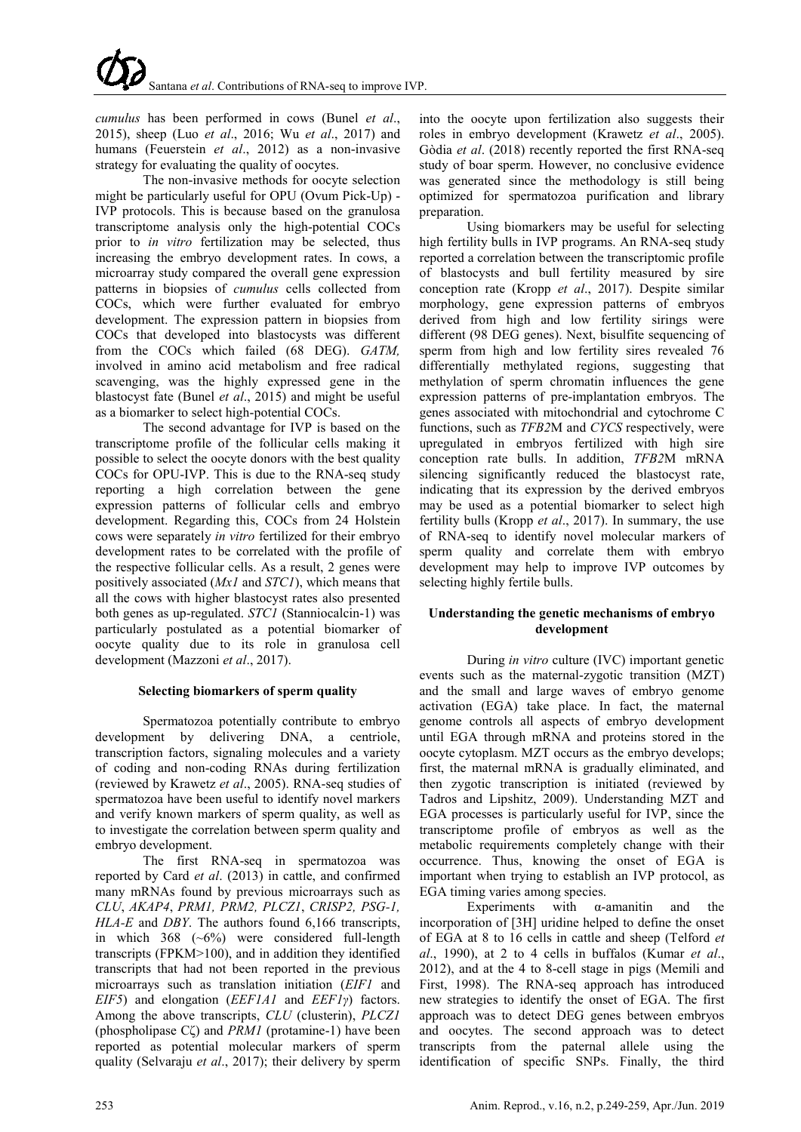*cumulus* has been performed in cows (Bunel *et al*., 2015), sheep (Luo *et al*., 2016; Wu *et al*., 2017) and humans (Feuerstein *et al*., 2012) as a non-invasive strategy for evaluating the quality of oocytes.

The non-invasive methods for oocyte selection might be particularly useful for OPU (Ovum Pick-Up) - IVP protocols. This is because based on the granulosa transcriptome analysis only the high-potential COCs prior to *in vitro* fertilization may be selected, thus increasing the embryo development rates. In cows, a microarray study compared the overall gene expression patterns in biopsies of *cumulus* cells collected from COCs, which were further evaluated for embryo development. The expression pattern in biopsies from COCs that developed into blastocysts was different from the COCs which failed (68 DEG). *GATM,* involved in amino acid metabolism and free radical scavenging, was the highly expressed gene in the blastocyst fate (Bunel *et al*., 2015) and might be useful as a biomarker to select high-potential COCs.

The second advantage for IVP is based on the transcriptome profile of the follicular cells making it possible to select the oocyte donors with the best quality COCs for OPU-IVP. This is due to the RNA-seq study reporting a high correlation between the gene expression patterns of follicular cells and embryo development. Regarding this, COCs from 24 Holstein cows were separately *in vitro* fertilized for their embryo development rates to be correlated with the profile of the respective follicular cells. As a result, 2 genes were positively associated (*Mx1* and *STC1*), which means that all the cows with higher blastocyst rates also presented both genes as up-regulated. *STC1* (Stanniocalcin-1) was particularly postulated as a potential biomarker of oocyte quality due to its role in granulosa cell development (Mazzoni *et al*., 2017).

# **Selecting biomarkers of sperm quality**

Spermatozoa potentially contribute to embryo development by delivering DNA, a centriole, transcription factors, signaling molecules and a variety of coding and non-coding RNAs during fertilization (reviewed by Krawetz *et al*., 2005). RNA-seq studies of spermatozoa have been useful to identify novel markers and verify known markers of sperm quality, as well as to investigate the correlation between sperm quality and embryo development.

The first RNA-seq in spermatozoa was reported by Card *et al*. (2013) in cattle, and confirmed many mRNAs found by previous microarrays such as *CLU*, *AKAP4*, *PRM1, PRM2, PLCZ1*, *CRISP2, PSG-1, HLA-E* and *DBY*. The authors found 6,166 transcripts, in which 368 (~6%) were considered full-length transcripts (FPKM>100), and in addition they identified transcripts that had not been reported in the previous microarrays such as translation initiation (*EIF1* and *EIF5*) and elongation (*EEF1A1* and *EEF1γ*) factors. Among the above transcripts, *CLU* (clusterin), *PLCZ1* (phospholipase Cζ) and *PRM1* (protamine-1) have been reported as potential molecular markers of sperm quality (Selvaraju *et al*., 2017); their delivery by sperm

into the oocyte upon fertilization also suggests their roles in embryo development (Krawetz *et al*., 2005). Gòdia *et al*. (2018) recently reported the first RNA-seq study of boar sperm. However, no conclusive evidence was generated since the methodology is still being optimized for spermatozoa purification and library preparation.

Using biomarkers may be useful for selecting high fertility bulls in IVP programs. An RNA-seq study reported a correlation between the transcriptomic profile of blastocysts and bull fertility measured by sire conception rate (Kropp *et al*., 2017). Despite similar morphology, gene expression patterns of embryos derived from high and low fertility sirings were different (98 DEG genes). Next, bisulfite sequencing of sperm from high and low fertility sires revealed 76 differentially methylated regions, suggesting that methylation of sperm chromatin influences the gene expression patterns of pre-implantation embryos. The genes associated with mitochondrial and cytochrome C functions, such as *TFB2*M and *CYCS* respectively, were upregulated in embryos fertilized with high sire conception rate bulls. In addition, *TFB2*M mRNA silencing significantly reduced the blastocyst rate, indicating that its expression by the derived embryos may be used as a potential biomarker to select high fertility bulls (Kropp *et al*., 2017). In summary, the use of RNA-seq to identify novel molecular markers of sperm quality and correlate them with embryo development may help to improve IVP outcomes by selecting highly fertile bulls.

# **Understanding the genetic mechanisms of embryo development**

During *in vitro* culture (IVC) important genetic events such as the maternal-zygotic transition (MZT) and the small and large waves of embryo genome activation (EGA) take place. In fact, the maternal genome controls all aspects of embryo development until EGA through mRNA and proteins stored in the oocyte cytoplasm. MZT occurs as the embryo develops; first, the maternal mRNA is gradually eliminated, and then zygotic transcription is initiated (reviewed by Tadros and Lipshitz, 2009). Understanding MZT and EGA processes is particularly useful for IVP, since the transcriptome profile of embryos as well as the metabolic requirements completely change with their occurrence. Thus, knowing the onset of EGA is important when trying to establish an IVP protocol, as EGA timing varies among species.

Experiments with  $\alpha$ -amanitin and the incorporation of [3H] uridine helped to define the onset of EGA at 8 to 16 cells in cattle and sheep (Telford *et al*., 1990), at 2 to 4 cells in buffalos (Kumar *et al*., 2012), and at the 4 to 8-cell stage in pigs (Memili and First, 1998). The RNA-seq approach has introduced new strategies to identify the onset of EGA. The first approach was to detect DEG genes between embryos and oocytes. The second approach was to detect transcripts from the paternal allele using the identification of specific SNPs. Finally, the third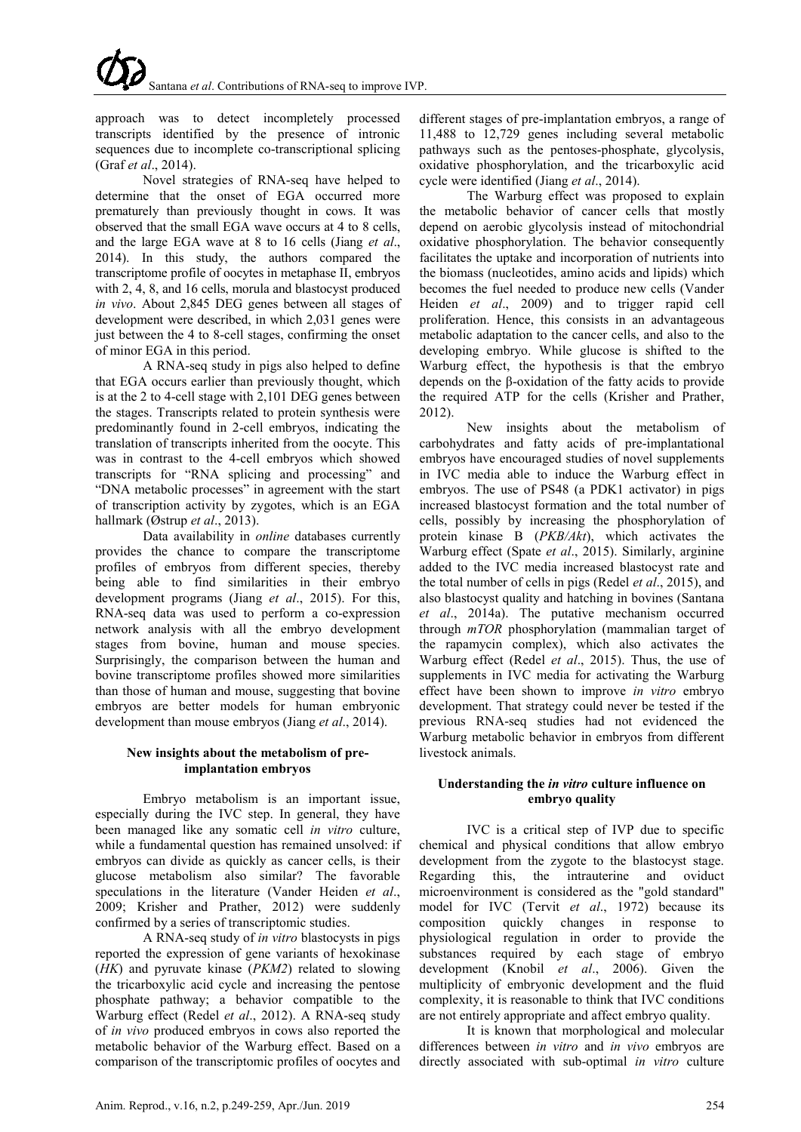approach was to detect incompletely processed transcripts identified by the presence of intronic sequences due to incomplete co-transcriptional splicing (Graf *et al*., 2014).

Novel strategies of RNA-seq have helped to determine that the onset of EGA occurred more prematurely than previously thought in cows. It was observed that the small EGA wave occurs at 4 to 8 cells, and the large EGA wave at 8 to 16 cells (Jiang *et al*., 2014). In this study, the authors compared the transcriptome profile of oocytes in metaphase II, embryos with 2, 4, 8, and 16 cells, morula and blastocyst produced *in vivo*. About 2,845 DEG genes between all stages of development were described, in which 2,031 genes were just between the 4 to 8-cell stages, confirming the onset of minor EGA in this period.

A RNA-seq study in pigs also helped to define that EGA occurs earlier than previously thought, which is at the 2 to 4-cell stage with 2,101 DEG genes between the stages. Transcripts related to protein synthesis were predominantly found in 2-cell embryos, indicating the translation of transcripts inherited from the oocyte. This was in contrast to the 4-cell embryos which showed transcripts for "RNA splicing and processing" and "DNA metabolic processes" in agreement with the start of transcription activity by zygotes, which is an EGA hallmark (Østrup *et al*., 2013).

Data availability in *online* databases currently provides the chance to compare the transcriptome profiles of embryos from different species, thereby being able to find similarities in their embryo development programs (Jiang *et al*., 2015). For this, RNA-seq data was used to perform a co-expression network analysis with all the embryo development stages from bovine, human and mouse species. Surprisingly, the comparison between the human and bovine transcriptome profiles showed more similarities than those of human and mouse, suggesting that bovine embryos are better models for human embryonic development than mouse embryos (Jiang *et al*., 2014).

# **New insights about the metabolism of preimplantation embryos**

Embryo metabolism is an important issue, especially during the IVC step. In general, they have been managed like any somatic cell *in vitro* culture, while a fundamental question has remained unsolved: if embryos can divide as quickly as cancer cells, is their glucose metabolism also similar? The favorable speculations in the literature (Vander Heiden *et al*., 2009; Krisher and Prather, 2012) were suddenly confirmed by a series of transcriptomic studies.

A RNA-seq study of *in vitro* blastocysts in pigs reported the expression of gene variants of hexokinase (*HK*) and pyruvate kinase (*PKM2*) related to slowing the tricarboxylic acid cycle and increasing the pentose phosphate pathway; a behavior compatible to the Warburg effect (Redel *et al*., 2012). A RNA-seq study of *in vivo* produced embryos in cows also reported the metabolic behavior of the Warburg effect. Based on a comparison of the transcriptomic profiles of oocytes and

different stages of pre-implantation embryos, a range of 11,488 to 12,729 genes including several metabolic pathways such as the pentoses-phosphate, glycolysis, oxidative phosphorylation, and the tricarboxylic acid cycle were identified (Jiang *et al*., 2014).

The Warburg effect was proposed to explain the metabolic behavior of cancer cells that mostly depend on aerobic glycolysis instead of mitochondrial oxidative phosphorylation. The behavior consequently facilitates the uptake and incorporation of nutrients into the biomass (nucleotides, amino acids and lipids) which becomes the fuel needed to produce new cells (Vander Heiden *et al*., 2009) and to trigger rapid cell proliferation. Hence, this consists in an advantageous metabolic adaptation to the cancer cells, and also to the developing embryo. While glucose is shifted to the Warburg effect, the hypothesis is that the embryo depends on the β-oxidation of the fatty acids to provide the required ATP for the cells (Krisher and Prather, 2012).

New insights about the metabolism of carbohydrates and fatty acids of pre-implantational embryos have encouraged studies of novel supplements in IVC media able to induce the Warburg effect in embryos. The use of PS48 (a PDK1 activator) in pigs increased blastocyst formation and the total number of cells, possibly by increasing the phosphorylation of protein kinase B (*PKB/Akt*), which activates the Warburg effect (Spate *et al*., 2015). Similarly, arginine added to the IVC media increased blastocyst rate and the total number of cells in pigs (Redel *et al*., 2015), and also blastocyst quality and hatching in bovines (Santana *et al*., 2014a). The putative mechanism occurred through *mTOR* phosphorylation (mammalian target of the rapamycin complex), which also activates the Warburg effect (Redel *et al*., 2015). Thus, the use of supplements in IVC media for activating the Warburg effect have been shown to improve *in vitro* embryo development. That strategy could never be tested if the previous RNA-seq studies had not evidenced the Warburg metabolic behavior in embryos from different livestock animals.

# **Understanding the** *in vitro* **culture influence on embryo quality**

IVC is a critical step of IVP due to specific chemical and physical conditions that allow embryo development from the zygote to the blastocyst stage. Regarding this, the intrauterine and oviduct microenvironment is considered as the "gold standard" model for IVC (Tervit *et al*., 1972) because its composition quickly changes in response to physiological regulation in order to provide the substances required by each stage of embryo development (Knobil *et al*., 2006). Given the multiplicity of embryonic development and the fluid complexity, it is reasonable to think that IVC conditions are not entirely appropriate and affect embryo quality.

It is known that morphological and molecular differences between *in vitro* and *in vivo* embryos are directly associated with sub-optimal *in vitro* culture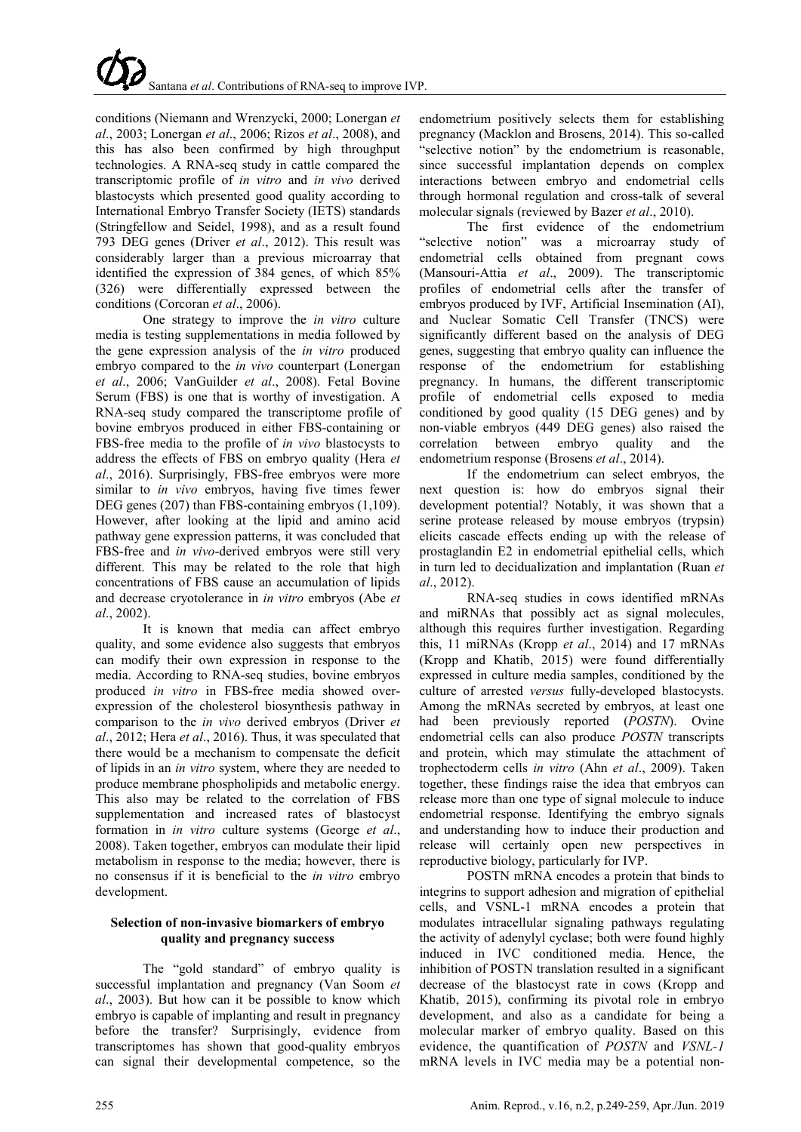conditions (Niemann and Wrenzycki, 2000; Lonergan *et al*., 2003; Lonergan *et al*., 2006; Rizos *et al*., 2008), and this has also been confirmed by high throughput technologies. A RNA-seq study in cattle compared the transcriptomic profile of *in vitro* and *in vivo* derived blastocysts which presented good quality according to International Embryo Transfer Society (IETS) standards (Stringfellow and Seidel, 1998), and as a result found 793 DEG genes (Driver *et al*., 2012). This result was considerably larger than a previous microarray that identified the expression of 384 genes, of which 85% (326) were differentially expressed between the conditions (Corcoran *et al*., 2006).

One strategy to improve the *in vitro* culture media is testing supplementations in media followed by the gene expression analysis of the *in vitro* produced embryo compared to the *in vivo* counterpart (Lonergan *et al*., 2006; VanGuilder *et al*., 2008). Fetal Bovine Serum (FBS) is one that is worthy of investigation. A RNA-seq study compared the transcriptome profile of bovine embryos produced in either FBS-containing or FBS-free media to the profile of *in vivo* blastocysts to address the effects of FBS on embryo quality (Hera *et al*., 2016). Surprisingly, FBS-free embryos were more similar to *in vivo* embryos, having five times fewer DEG genes (207) than FBS-containing embryos (1,109). However, after looking at the lipid and amino acid pathway gene expression patterns, it was concluded that FBS-free and *in vivo*-derived embryos were still very different. This may be related to the role that high concentrations of FBS cause an accumulation of lipids and decrease cryotolerance in *in vitro* embryos (Abe *et al*., 2002).

It is known that media can affect embryo quality, and some evidence also suggests that embryos can modify their own expression in response to the media. According to RNA-seq studies, bovine embryos produced *in vitro* in FBS-free media showed overexpression of the cholesterol biosynthesis pathway in comparison to the *in vivo* derived embryos (Driver *et al*., 2012; Hera *et al*., 2016). Thus, it was speculated that there would be a mechanism to compensate the deficit of lipids in an *in vitro* system, where they are needed to produce membrane phospholipids and metabolic energy. This also may be related to the correlation of FBS supplementation and increased rates of blastocyst formation in *in vitro* culture systems (George *et al*., 2008). Taken together, embryos can modulate their lipid metabolism in response to the media; however, there is no consensus if it is beneficial to the *in vitro* embryo development.

# **Selection of non-invasive biomarkers of embryo quality and pregnancy success**

The "gold standard" of embryo quality is successful implantation and pregnancy (Van Soom *et al*., 2003). But how can it be possible to know which embryo is capable of implanting and result in pregnancy before the transfer? Surprisingly, evidence from transcriptomes has shown that good-quality embryos can signal their developmental competence, so the

endometrium positively selects them for establishing pregnancy (Macklon and Brosens, 2014). This so-called "selective notion" by the endometrium is reasonable, since successful implantation depends on complex interactions between embryo and endometrial cells through hormonal regulation and cross-talk of several molecular signals (reviewed by Bazer *et al*., 2010).

The first evidence of the endometrium<br>"selective notion" was a microarray study of was a microarray study of endometrial cells obtained from pregnant cows (Mansouri-Attia *et al*., 2009). The transcriptomic profiles of endometrial cells after the transfer of embryos produced by IVF, Artificial Insemination (AI), and Nuclear Somatic Cell Transfer (TNCS) were significantly different based on the analysis of DEG genes, suggesting that embryo quality can influence the response of the endometrium for establishing pregnancy. In humans, the different transcriptomic profile of endometrial cells exposed to media conditioned by good quality (15 DEG genes) and by non-viable embryos (449 DEG genes) also raised the correlation between embryo quality and the endometrium response (Brosens *et al*., 2014).

If the endometrium can select embryos, the next question is: how do embryos signal their development potential? Notably, it was shown that a serine protease released by mouse embryos (trypsin) elicits cascade effects ending up with the release of prostaglandin E2 in endometrial epithelial cells, which in turn led to decidualization and implantation (Ruan *et al*., 2012).

RNA-seq studies in cows identified mRNAs and miRNAs that possibly act as signal molecules, although this requires further investigation. Regarding this, 11 miRNAs (Kropp *et al*., 2014) and 17 mRNAs (Kropp and Khatib, 2015) were found differentially expressed in culture media samples, conditioned by the culture of arrested *versus* fully-developed blastocysts. Among the mRNAs secreted by embryos, at least one had been previously reported (*POSTN*). Ovine endometrial cells can also produce *POSTN* transcripts and protein, which may stimulate the attachment of trophectoderm cells *in vitro* (Ahn *et al*., 2009). Taken together, these findings raise the idea that embryos can release more than one type of signal molecule to induce endometrial response. Identifying the embryo signals and understanding how to induce their production and release will certainly open new perspectives in reproductive biology, particularly for IVP.

POSTN mRNA encodes a protein that binds to integrins to support adhesion and migration of epithelial cells, and VSNL-1 mRNA encodes a protein that modulates intracellular signaling pathways regulating the activity of adenylyl cyclase; both were found highly induced in IVC conditioned media. Hence, the inhibition of POSTN translation resulted in a significant decrease of the blastocyst rate in cows (Kropp and Khatib, 2015), confirming its pivotal role in embryo development, and also as a candidate for being a molecular marker of embryo quality. Based on this evidence, the quantification of *POSTN* and *VSNL-1* mRNA levels in IVC media may be a potential non-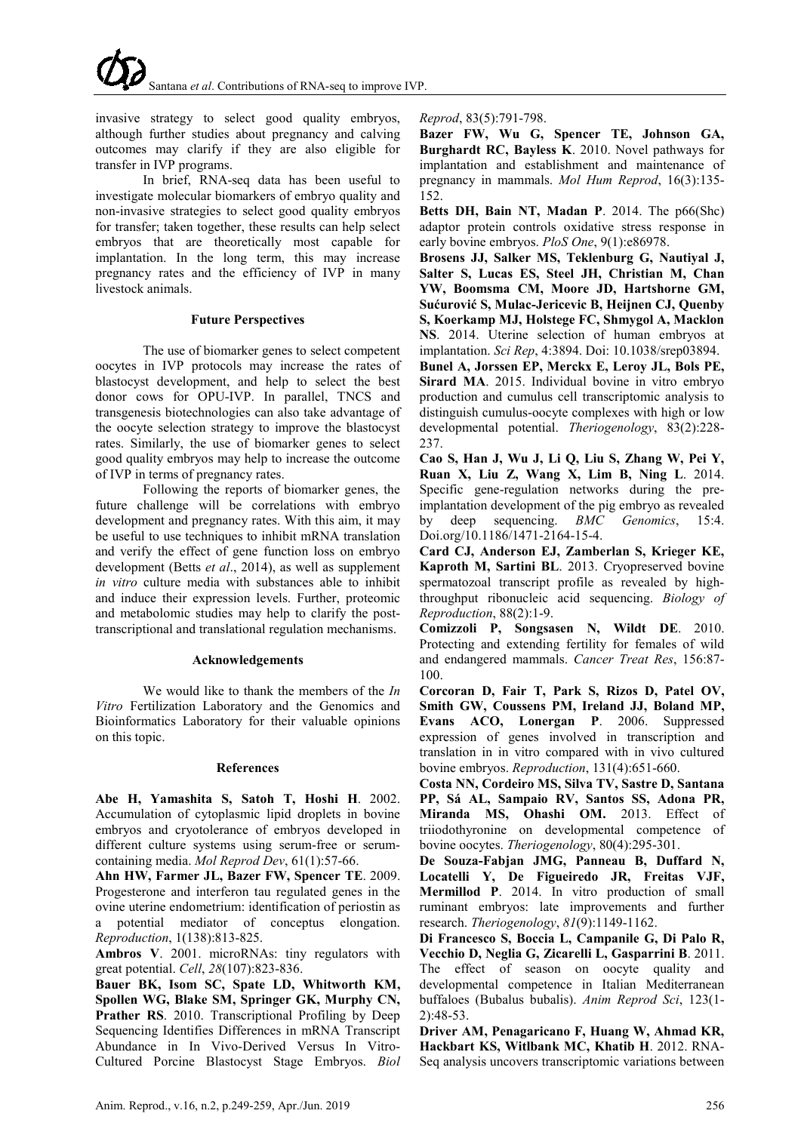

invasive strategy to select good quality embryos, although further studies about pregnancy and calving outcomes may clarify if they are also eligible for transfer in IVP programs.

In brief, RNA-seq data has been useful to investigate molecular biomarkers of embryo quality and non-invasive strategies to select good quality embryos for transfer; taken together, these results can help select embryos that are theoretically most capable for implantation. In the long term, this may increase pregnancy rates and the efficiency of IVP in many livestock animals.

### **Future Perspectives**

The use of biomarker genes to select competent oocytes in IVP protocols may increase the rates of blastocyst development, and help to select the best donor cows for OPU-IVP. In parallel, TNCS and transgenesis biotechnologies can also take advantage of the oocyte selection strategy to improve the blastocyst rates. Similarly, the use of biomarker genes to select good quality embryos may help to increase the outcome of IVP in terms of pregnancy rates.

Following the reports of biomarker genes, the future challenge will be correlations with embryo development and pregnancy rates. With this aim, it may be useful to use techniques to inhibit mRNA translation and verify the effect of gene function loss on embryo development (Betts *et al*., 2014), as well as supplement *in vitro* culture media with substances able to inhibit and induce their expression levels. Further, proteomic and metabolomic studies may help to clarify the posttranscriptional and translational regulation mechanisms.

# **Acknowledgements**

We would like to thank the members of the *In Vitro* Fertilization Laboratory and the Genomics and Bioinformatics Laboratory for their valuable opinions on this topic.

### **References**

**Abe H, Yamashita S, Satoh T, Hoshi H**. 2002. Accumulation of cytoplasmic lipid droplets in bovine embryos and cryotolerance of embryos developed in different culture systems using serum-free or serumcontaining media. *Mol Reprod Dev*, 61(1):57-66.

**Ahn HW, Farmer JL, Bazer FW, Spencer TE**. 2009. Progesterone and interferon tau regulated genes in the ovine uterine endometrium: identification of periostin as a potential mediator of conceptus elongation. *Reproduction*, 1(138):813-825.

**Ambros V**. 2001. microRNAs: tiny regulators with great potential. *Cell*, *28*(107):823-836.

**Bauer BK, Isom SC, Spate LD, Whitworth KM, Spollen WG, Blake SM, Springer GK, Murphy CN, Prather RS**. 2010. Transcriptional Profiling by Deep Sequencing Identifies Differences in mRNA Transcript Abundance in In Vivo-Derived Versus In Vitro-Cultured Porcine Blastocyst Stage Embryos. *Biol*  *Reprod*, 83(5):791-798.

**Bazer FW, Wu G, Spencer TE, Johnson GA, Burghardt RC, Bayless K**. 2010. Novel pathways for implantation and establishment and maintenance of pregnancy in mammals. *Mol Hum Reprod*, 16(3):135- 152.

**Betts DH, Bain NT, Madan P**. 2014. The p66(Shc) adaptor protein controls oxidative stress response in early bovine embryos. *PloS One*, 9(1):e86978.

**Brosens JJ, Salker MS, Teklenburg G, Nautiyal J, Salter S, Lucas ES, Steel JH, Christian M, Chan YW, Boomsma CM, Moore JD, Hartshorne GM, Sućurović S, Mulac-Jericevic B, Heijnen CJ, Quenby S, Koerkamp MJ, Holstege FC, Shmygol A, Macklon NS**. 2014. Uterine selection of human embryos at implantation. *Sci Rep*, 4:3894. Doi: 10.1038/srep03894.

**Bunel A, Jorssen EP, Merckx E, Leroy JL, Bols PE, Sirard MA**. 2015. Individual bovine in vitro embryo production and cumulus cell transcriptomic analysis to distinguish cumulus-oocyte complexes with high or low developmental potential. *Theriogenology*, 83(2):228- 237.

**Cao S, Han J, Wu J, Li Q, Liu S, Zhang W, Pei Y, Ruan X, Liu Z, Wang X, Lim B, Ning L**. 2014. Specific gene-regulation networks during the preimplantation development of the pig embryo as revealed by deep sequencing. *BMC Genomics*, 15:4. Doi.org/10.1186/1471-2164-15-4.

**Card CJ, Anderson EJ, Zamberlan S, Krieger KE, Kaproth M, Sartini BL**. 2013. Cryopreserved bovine spermatozoal transcript profile as revealed by highthroughput ribonucleic acid sequencing. *Biology of Reproduction*, 88(2):1-9.

**Comizzoli P, Songsasen N, Wildt DE**. 2010. Protecting and extending fertility for females of wild and endangered mammals. *Cancer Treat Res*, 156:87- 100.

**Corcoran D, Fair T, Park S, Rizos D, Patel OV, Smith GW, Coussens PM, Ireland JJ, Boland MP, Evans ACO, Lonergan P**. 2006. Suppressed expression of genes involved in transcription and translation in in vitro compared with in vivo cultured bovine embryos. *Reproduction*, 131(4):651-660.

**Costa NN, Cordeiro MS, Silva TV, Sastre D, Santana PP, Sá AL, Sampaio RV, Santos SS, Adona PR, Miranda MS, Ohashi OM.** 2013. Effect of triiodothyronine on developmental competence of bovine oocytes. *Theriogenology*, 80(4):295-301.

**De Souza-Fabjan JMG, Panneau B, Duffard N, Locatelli Y, De Figueiredo JR, Freitas VJF, Mermillod P**. 2014. In vitro production of small ruminant embryos: late improvements and further research. *Theriogenology*, *81*(9):1149-1162.

**Di Francesco S, Boccia L, Campanile G, Di Palo R, Vecchio D, Neglia G, Zicarelli L, Gasparrini B**. 2011. The effect of season on oocyte quality and developmental competence in Italian Mediterranean buffaloes (Bubalus bubalis). *Anim Reprod Sci*, 123(1- 2):48-53.

**Driver AM, Penagaricano F, Huang W, Ahmad KR, Hackbart KS, Witlbank MC, Khatib H**. 2012. RNA-Seq analysis uncovers transcriptomic variations between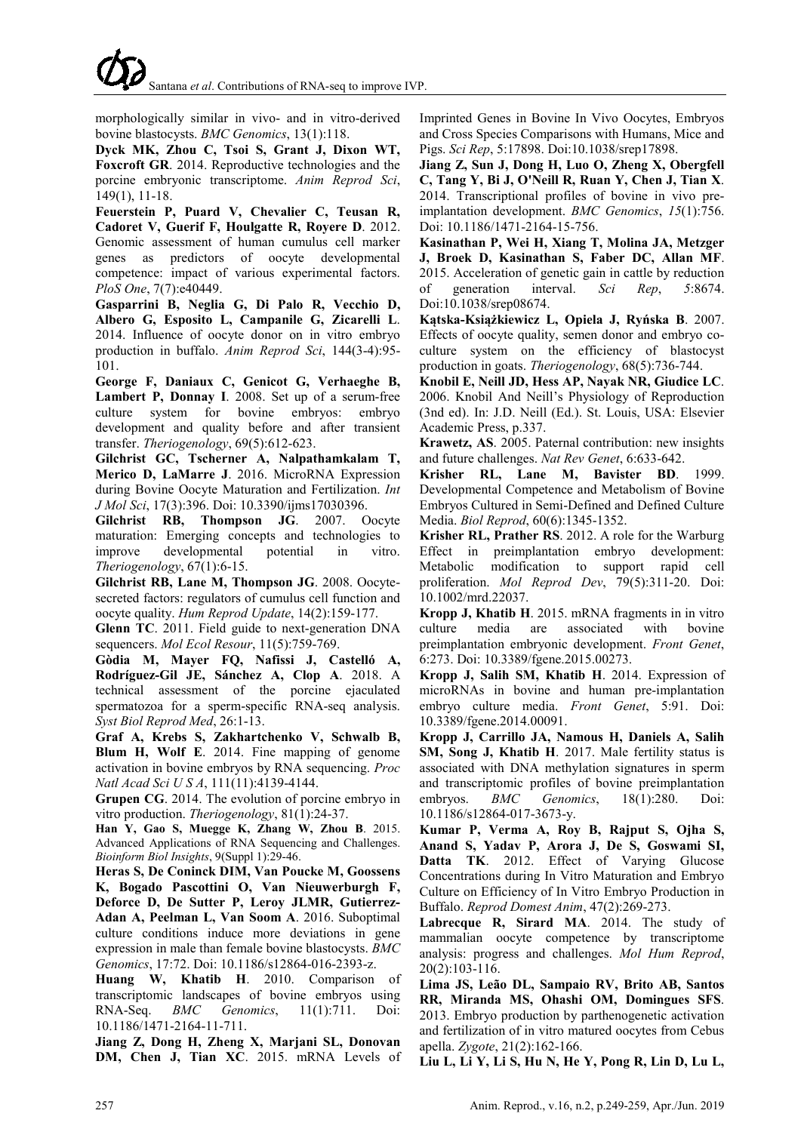

morphologically similar in vivo- and in vitro-derived bovine blastocysts. *BMC Genomics*, 13(1):118.

**Dyck MK, Zhou C, Tsoi S, Grant J, Dixon WT, Foxcroft GR**. 2014. Reproductive technologies and the porcine embryonic transcriptome. *Anim Reprod Sci*, 149(1), 11-18.

**Feuerstein P, Puard V, Chevalier C, Teusan R, Cadoret V, Guerif F, Houlgatte R, Royere D**. 2012. Genomic assessment of human cumulus cell marker genes as predictors of oocyte developmental competence: impact of various experimental factors. *PloS One*, 7(7):e40449.

**Gasparrini B, Neglia G, Di Palo R, Vecchio D, Albero G, Esposito L, Campanile G, Zicarelli L**. 2014. Influence of oocyte donor on in vitro embryo production in buffalo. *Anim Reprod Sci*, 144(3-4):95- 101.

**George F, Daniaux C, Genicot G, Verhaeghe B, Lambert P, Donnay I**. 2008. Set up of a serum-free culture system for bovine embryos: embryo development and quality before and after transient transfer. *Theriogenology*, 69(5):612-623.

**Gilchrist GC, Tscherner A, Nalpathamkalam T, Merico D, LaMarre J**. 2016. MicroRNA Expression during Bovine Oocyte Maturation and Fertilization. *Int J Mol Sci*, 17(3):396. Doi: 10.3390/ijms17030396.

**Gilchrist RB, Thompson JG**. 2007. Oocyte maturation: Emerging concepts and technologies to improve developmental potential in vitro. *Theriogenology*, 67(1):6-15.

**Gilchrist RB, Lane M, Thompson JG**. 2008. Oocytesecreted factors: regulators of cumulus cell function and oocyte quality. *Hum Reprod Update*, 14(2):159-177.

**Glenn TC**. 2011. Field guide to next-generation DNA sequencers. *Mol Ecol Resour*, 11(5):759-769.

**Gòdia M, Mayer FQ, Nafissi J, Castelló A, Rodríguez-Gil JE, Sánchez A, Clop A**. 2018. A technical assessment of the porcine ejaculated spermatozoa for a sperm-specific RNA-seq analysis. *Syst Biol Reprod Med*, 26:1-13.

**Graf A, Krebs S, Zakhartchenko V, Schwalb B, Blum H, Wolf E**. 2014. Fine mapping of genome activation in bovine embryos by RNA sequencing. *Proc Natl Acad Sci U S A*, 111(11):4139-4144.

**Grupen CG**. 2014. The evolution of porcine embryo in vitro production. *Theriogenology*, 81(1):24-37.

**Han Y, Gao S, Muegge K, Zhang W, Zhou B**. 2015. Advanced Applications of RNA Sequencing and Challenges. *[Bioinform Biol Insights](https://www.ncbi.nlm.nih.gov/pubmed/?term=Han+Y%2C+Gao+S%2C+Muegge+K%2C+Zhang+W%2C+Zhou+B.+2015.+Advanced+Applications+of+RNA+Sequencing+and+Challenges.)*, 9(Suppl 1):29-46.

**Heras S, De Coninck DIM, Van Poucke M, Goossens K, Bogado Pascottini O, Van Nieuwerburgh F, Deforce D, De Sutter P, Leroy JLMR, Gutierrez-Adan A, Peelman L, Van Soom A**. 2016. Suboptimal culture conditions induce more deviations in gene expression in male than female bovine blastocysts. *BMC Genomics*, 17:72. Doi: 10.1186/s12864-016-2393-z.

**Huang W, Khatib H**. 2010. Comparison of transcriptomic landscapes of bovine embryos using RNA-Seq. *BMC Genomics*, 11(1):711. Doi: 10.1186/1471-2164-11-711.

**Jiang Z, Dong H, Zheng X, Marjani SL, Donovan DM, Chen J, Tian XC**. 2015. mRNA Levels of Imprinted Genes in Bovine In Vivo Oocytes, Embryos and Cross Species Comparisons with Humans, Mice and Pigs. *Sci Rep*, 5:17898. Doi:10.1038/srep17898.

**Jiang Z, Sun J, Dong H, Luo O, Zheng X, Obergfell C, Tang Y, Bi J, O'Neill R, Ruan Y, Chen J, Tian X**. 2014. Transcriptional profiles of bovine in vivo preimplantation development. *BMC Genomics*, *15*(1):756. Doi: 10.1186/1471-2164-15-756.

**Kasinathan P, Wei H, Xiang T, Molina JA, Metzger J, Broek D, Kasinathan S, Faber DC, Allan MF**. 2015. Acceleration of genetic gain in cattle by reduction of generation interval. *Sci Rep*, *5*:8674. Doi:10.1038/srep08674.

**Kątska-Książkiewicz L, Opiela J, Ryńska B**. 2007. Effects of oocyte quality, semen donor and embryo coculture system on the efficiency of blastocyst production in goats. *Theriogenology*, 68(5):736-744.

**Knobil E, Neill JD, Hess AP, Nayak NR, Giudice LC**. 2006. Knobil And Neill's Physiology of Reproduction (3nd ed). In: J.D. Neill (Ed.). St. Louis, USA: Elsevier Academic Press, p.337.

**Krawetz, AS**. 2005. Paternal contribution: new insights and future challenges. *Nat Rev Genet*, 6:633-642.

**Krisher RL, Lane M, Bavister BD**. 1999. Developmental Competence and Metabolism of Bovine Embryos Cultured in Semi-Defined and Defined Culture Media. *Biol Reprod*, 60(6):1345-1352.

**Krisher RL, Prather RS**. 2012. A role for the Warburg Effect in preimplantation embryo development: Metabolic modification to support rapid cell proliferation. *Mol Reprod Dev*, 79(5):311-20. Doi: 10.1002/mrd.22037.

**Kropp J, Khatib H**. 2015. mRNA fragments in in vitro culture media are associated with bovine preimplantation embryonic development. *Front Genet*, 6:273. Doi: 10.3389/fgene.2015.00273.

**Kropp J, Salih SM, Khatib H**. 2014. Expression of microRNAs in bovine and human pre-implantation embryo culture media. *Front Genet*, 5:91. Doi: 10.3389/fgene.2014.00091.

**Kropp J, Carrillo JA, Namous H, Daniels A, Salih SM, Song J, Khatib H**. 2017. Male fertility status is associated with DNA methylation signatures in sperm and transcriptomic profiles of bovine preimplantation embryos. *[BMC Genomics](https://www.ncbi.nlm.nih.gov/pubmed/?term=Kropp+J%2C+Carrillo+JA%2C+Namous+H%2C+Daniels+A%2C+Salih+SM%2C+Song+J%2C+Khatib+H.+2017.+Male+fertility+status+is+associated+with+DNA+methylation+signatures+in+sperm+and+transcriptomic+profiles+of+bovine+preimplantation+embryos.)*, 18(1):280. Doi: 10.1186/s12864-017-3673-y.

**Kumar P, Verma A, Roy B, Rajput S, Ojha S, Anand S, Yadav P, Arora J, De S, Goswami SI, Datta TK**. 2012. Effect of Varying Glucose Concentrations during In Vitro Maturation and Embryo Culture on Efficiency of In Vitro Embryo Production in Buffalo. *Reprod Domest Anim*, 47(2):269-273.

**Labrecque R, Sirard MA**. 2014. The study of mammalian oocyte competence by transcriptome analysis: progress and challenges. *Mol Hum Reprod*, 20(2):103-116.

**Lima JS, Leão DL, Sampaio RV, Brito AB, Santos RR, Miranda MS, Ohashi OM, Domingues SFS**. 2013. Embryo production by parthenogenetic activation and fertilization of in vitro matured oocytes from Cebus apella. *Zygote*, 21(2):162-166.

**Liu L, Li Y, Li S, Hu N, He Y, Pong R, Lin D, Lu L,**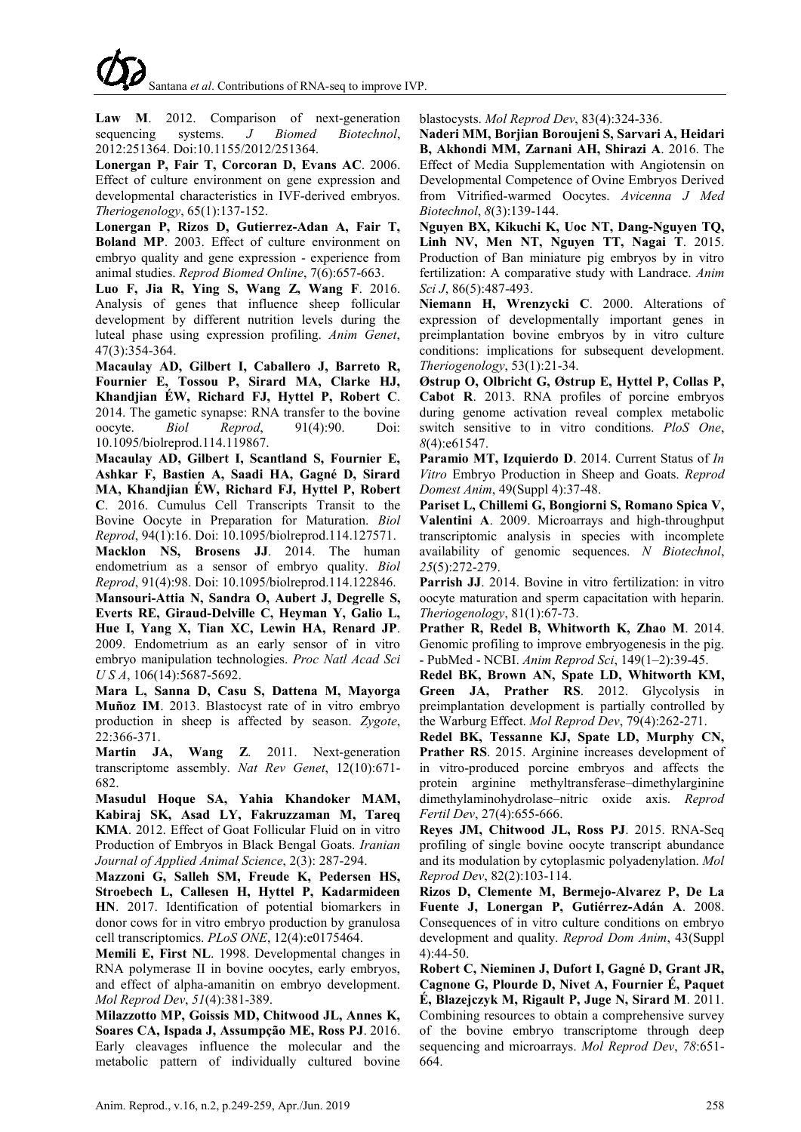**Law M**. 2012. Comparison of next-generation sequencing systems. *J Biomed Biotechnol*, 2012:251364. Doi:10.1155/2012/251364.

**Lonergan P, Fair T, Corcoran D, Evans AC**. 2006. Effect of culture environment on gene expression and developmental characteristics in IVF-derived embryos. *Theriogenology*, 65(1):137-152.

**Lonergan P, Rizos D, Gutierrez-Adan A, Fair T, Boland MP**. 2003. Effect of culture environment on embryo quality and gene expression - experience from animal studies. *Reprod Biomed Online*, 7(6):657-663.

**Luo F, Jia R, Ying S, Wang Z, Wang F**. 2016. Analysis of genes that influence sheep follicular development by different nutrition levels during the luteal phase using expression profiling. *Anim Genet*, 47(3):354-364.

**Macaulay AD, Gilbert I, Caballero J, Barreto R, Fournier E, Tossou P, Sirard MA, Clarke HJ, Khandjian ÉW, Richard FJ, Hyttel P, Robert C**. 2014. The gametic synapse: RNA transfer to the bovine oocyte. *Biol Reprod*, 91(4):90. Doi: 10.1095/biolreprod.114.119867.

**Macaulay AD, Gilbert I, Scantland S, Fournier E, Ashkar F, Bastien A, Saadi HA, Gagné D, Sirard MA, Khandjian ÉW, Richard FJ, Hyttel P, Robert C**. 2016. Cumulus Cell Transcripts Transit to the Bovine Oocyte in Preparation for Maturation. *Biol Reprod*, 94(1):16. Doi: 10.1095/biolreprod.114.127571. **Macklon NS, Brosens JJ**. 2014. The human endometrium as a sensor of embryo quality. *Biol Reprod*, 91(4):98. Doi: 10.1095/biolreprod.114.122846.

**Mansouri-Attia N, Sandra O, Aubert J, Degrelle S, Everts RE, Giraud-Delville C, Heyman Y, Galio L, Hue I, Yang X, Tian XC, Lewin HA, Renard JP**. 2009. Endometrium as an early sensor of in vitro embryo manipulation technologies. *Proc Natl Acad Sci U S A*, 106(14):5687-5692.

**Mara L, Sanna D, Casu S, Dattena M, Mayorga Muñoz IM**. 2013. Blastocyst rate of in vitro embryo production in sheep is affected by season. *Zygote*, 22:366-371.

**Martin JA, Wang Z**. 2011. Next-generation transcriptome assembly. *Nat Rev Genet*, 12(10):671- 682.

**Masudul Hoque SA, Yahia Khandoker MAM, Kabiraj SK, Asad LY, Fakruzzaman M, Tareq KMA**. 2012. Effect of Goat Follicular Fluid on in vitro Production of Embryos in Black Bengal Goats. *Iranian Journal of Applied Animal Science*, 2(3): 287-294.

**Mazzoni G, Salleh SM, Freude K, Pedersen HS, Stroebech L, Callesen H, Hyttel P, Kadarmideen HN**. 2017. Identification of potential biomarkers in donor cows for in vitro embryo production by granulosa cell transcriptomics. *PLoS ONE*, 12(4):e0175464.

**Memili E, First NL**. 1998. Developmental changes in RNA polymerase II in bovine oocytes, early embryos, and effect of alpha-amanitin on embryo development. *Mol Reprod Dev*, *51*(4):381-389.

**Milazzotto MP, Goissis MD, Chitwood JL, Annes K, Soares CA, Ispada J, Assumpção ME, Ross PJ**. 2016. Early cleavages influence the molecular and the metabolic pattern of individually cultured bovine blastocysts. *Mol Reprod Dev*, 83(4):324-336.

**Naderi MM, Borjian Boroujeni S, Sarvari A, Heidari B, Akhondi MM, Zarnani AH, Shirazi A**. 2016. The Effect of Media Supplementation with Angiotensin on Developmental Competence of Ovine Embryos Derived from Vitrified-warmed Oocytes. *Avicenna J Med Biotechnol*, *8*(3):139-144.

**Nguyen BX, Kikuchi K, Uoc NT, Dang-Nguyen TQ, Linh NV, Men NT, Nguyen TT, Nagai T**. 2015. Production of Ban miniature pig embryos by in vitro fertilization: A comparative study with Landrace. *Anim Sci J*, 86(5):487-493.

**Niemann H, Wrenzycki C**. 2000. Alterations of expression of developmentally important genes in preimplantation bovine embryos by in vitro culture conditions: implications for subsequent development. *Theriogenology*, 53(1):21-34.

**Østrup O, Olbricht G, Østrup E, Hyttel P, Collas P, Cabot R**. 2013. RNA profiles of porcine embryos during genome activation reveal complex metabolic switch sensitive to in vitro conditions. *PloS One*, *8*(4):e61547.

**Paramio MT, Izquierdo D**. 2014. Current Status of *In Vitro* Embryo Production in Sheep and Goats. *Reprod Domest Anim*, 49(Suppl 4):37-48.

**Pariset L, Chillemi G, Bongiorni S, Romano Spica V, Valentini A**. 2009. Microarrays and high-throughput transcriptomic analysis in species with incomplete availability of genomic sequences. *N Biotechnol*, *25*(5):272-279.

**Parrish JJ**. 2014. Bovine in vitro fertilization: in vitro oocyte maturation and sperm capacitation with heparin. *Theriogenology*, 81(1):67-73.

**Prather R, Redel B, Whitworth K, Zhao M**. 2014. Genomic profiling to improve embryogenesis in the pig. - PubMed - NCBI. *Anim Reprod Sci*, 149(1–2):39-45.

**Redel BK, Brown AN, Spate LD, Whitworth KM, Green JA, Prather RS**. 2012. Glycolysis in preimplantation development is partially controlled by the Warburg Effect. *Mol Reprod Dev*, 79(4):262-271.

**Redel BK, Tessanne KJ, Spate LD, Murphy CN, Prather RS**. 2015. Arginine increases development of in vitro-produced porcine embryos and affects the protein arginine methyltransferase–dimethylarginine dimethylaminohydrolase–nitric oxide axis. *Reprod Fertil Dev*, 27(4):655-666.

**Reyes JM, Chitwood JL, Ross PJ**. 2015. RNA-Seq profiling of single bovine oocyte transcript abundance and its modulation by cytoplasmic polyadenylation. *Mol Reprod Dev*, 82(2):103-114.

**Rizos D, Clemente M, Bermejo-Alvarez P, De La Fuente J, Lonergan P, Gutiérrez-Adán A**. 2008. Consequences of in vitro culture conditions on embryo development and quality. *Reprod Dom Anim*, 43(Suppl 4):44-50.

**Robert C, Nieminen J, Dufort I, Gagné D, Grant JR, Cagnone G, Plourde D, Nivet A, Fournier É, Paquet É, Blazejczyk M, Rigault P, Juge N, Sirard M**. 2011.

Combining resources to obtain a comprehensive survey of the bovine embryo transcriptome through deep sequencing and microarrays. *Mol Reprod Dev*, *78*:651- 664.